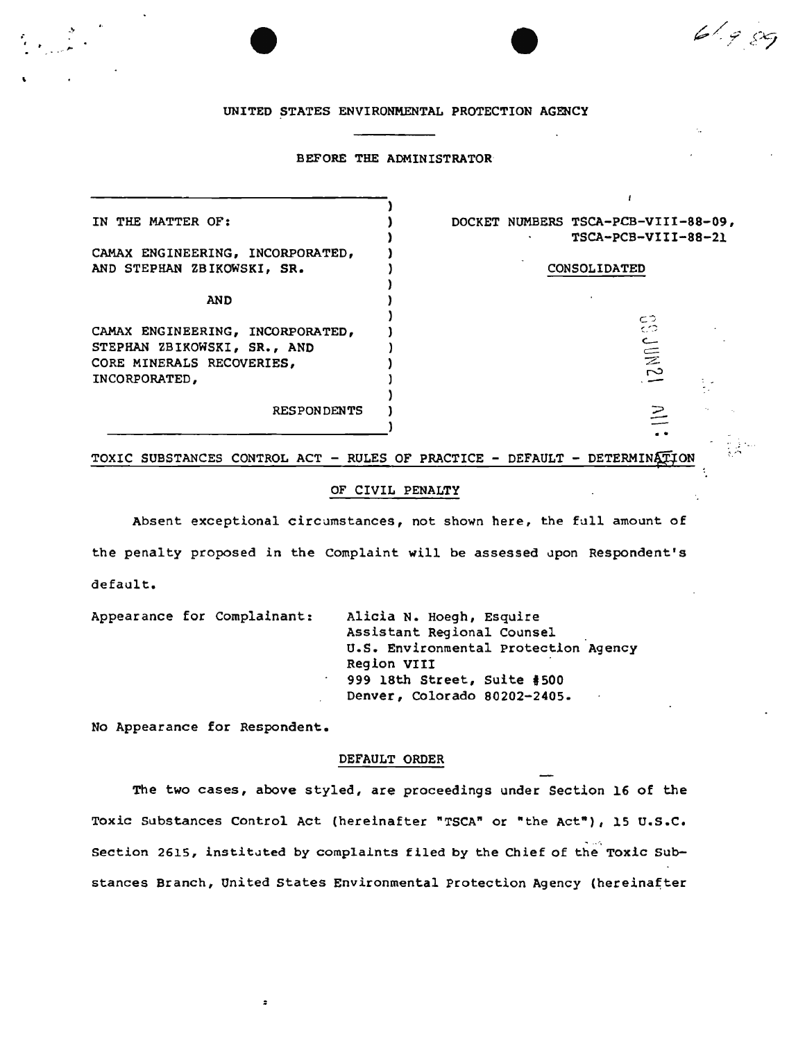#### UNITED STATES ENVIRONMENTAL PROTECTION AGENCY

 $\bullet$ 

 $6990$ 

# BEFORE THE ADMINISTRATOR

| IN THE MATTER OF:                | DOCKET NUMBERS TSCA-PCB-VIII-88-09,<br>TSCA-PCB-VIII-88-21 |
|----------------------------------|------------------------------------------------------------|
| CAMAX ENGINEERING, INCORPORATED, |                                                            |
| AND STEPHAN ZBIKOWSKI, SR.       | <b>CONSOLIDATED</b>                                        |
| <b>AND</b>                       |                                                            |
| CAMAX ENGINEERING, INCORPORATED, | ⊂⊃<br>ero.                                                 |
| STEPHAN ZBIKOWSKI, SR., AND      |                                                            |
| CORE MINERALS RECOVERIES,        | 12N91                                                      |
| INCORPORATED,                    |                                                            |
| <b>RESPONDENTS</b>               | $\geq$                                                     |
|                                  |                                                            |

# TOXIC SUBSTANCES CONTROL ACT - RULES OF PRACTICE - DEFAULT - DETERMINATION

#### OF CIVIL PENALTY

Absent exceptional circumstances, not shown here, the full amount of the penalty proposed in the Complaint will be assessed upon Respondent's default.

Appearance for Complainant:

Alicia N. Hoegh, Esquire Assistant Regional Counsel u.s. Environmental Protection Agency Region VIII 999 18th Street, Suite #500 Denver, Colorado 80202-2405.

No Appearance for Respondent.

=

### DEFAULT ORDER

The two cases, above styled, are proceedings under Section 16 of the Toxic Substances Control Act (hereinafter "TSCA" or "the Act"), 15 u.s.c • ...<br>-Section 2615, instituted by complaints filed by the Chief of the Toxic Sub stances Branch, United States Environmental Protection Agency (hereinafter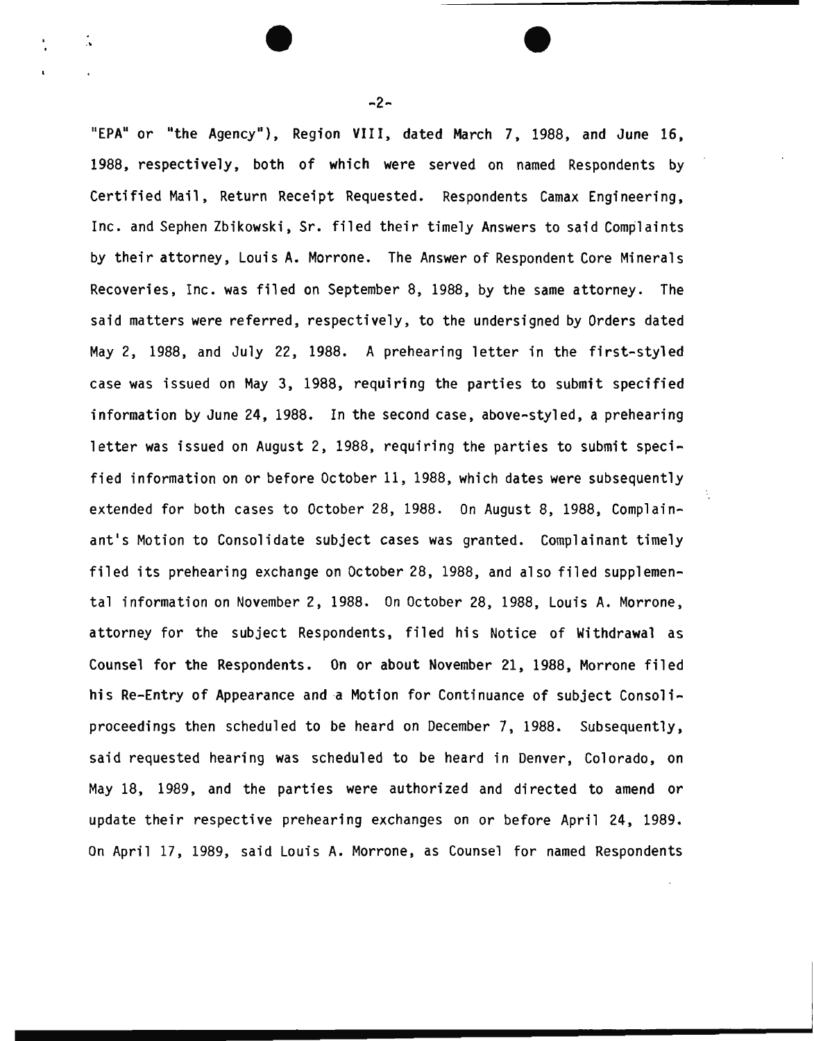"EPA" or "the Agency"), Region VIII, dated March 7, 1988, and June 16, 1988, respectively, both of which were served on named Respondents by Certified Mail, Return Receipt Requested. Respondents Camax Engineering, Inc. and Sephen Zbikowski, Sr. filed their timely Answers to said Complaints by their attorney, Louis A. Morrone. The Answer of Respondent Core Minerals Recoveries, Inc. was filed on September 8, 1988, by the same attorney. The said matters were referred, respectively, to the undersigned by Orders dated May 2, 1988, and July 22, 1988. A prehearing letter in the first-styled case was issued on May 3, 1988, requiring the parties to submit specified information by June 24, 1988. In the second case, above-styled, a prehearing letter was issued on August 2, 1988, requiring the parties to submit specified information on or before October 11, 1988, which dates were subsequently extended for both cases to October 28, 1988. On August 8, 1988, Complainant's Motion to Consolidate subject cases was granted. Complainant timely filed its prehearing exchange on October 28, 1988, and also filed supplemental information on November 2, 1988. On October 28, 1988, Louis A. Morrone, attorney for the subject Respondents, filed his Notice of Withdrawal as Counsel for the Respondents. On or about November 21, 1988, Morrone filed his Re-Entry of Appearance and a Motion for Continuance of subject Consoliproceedings then scheduled to be heard on December 7, 1988. Subsequently, said requested hearing was scheduled to be heard in Denver, Colorado, on May 18, 1989, and the parties were authorized and directed to amend or update their respective prehearing exchanges on or before April 24, 1989. On April 17, 1989, said Louis A. Morrone, as Counsel for named Respondents

-2-

 $\overline{\bullet}$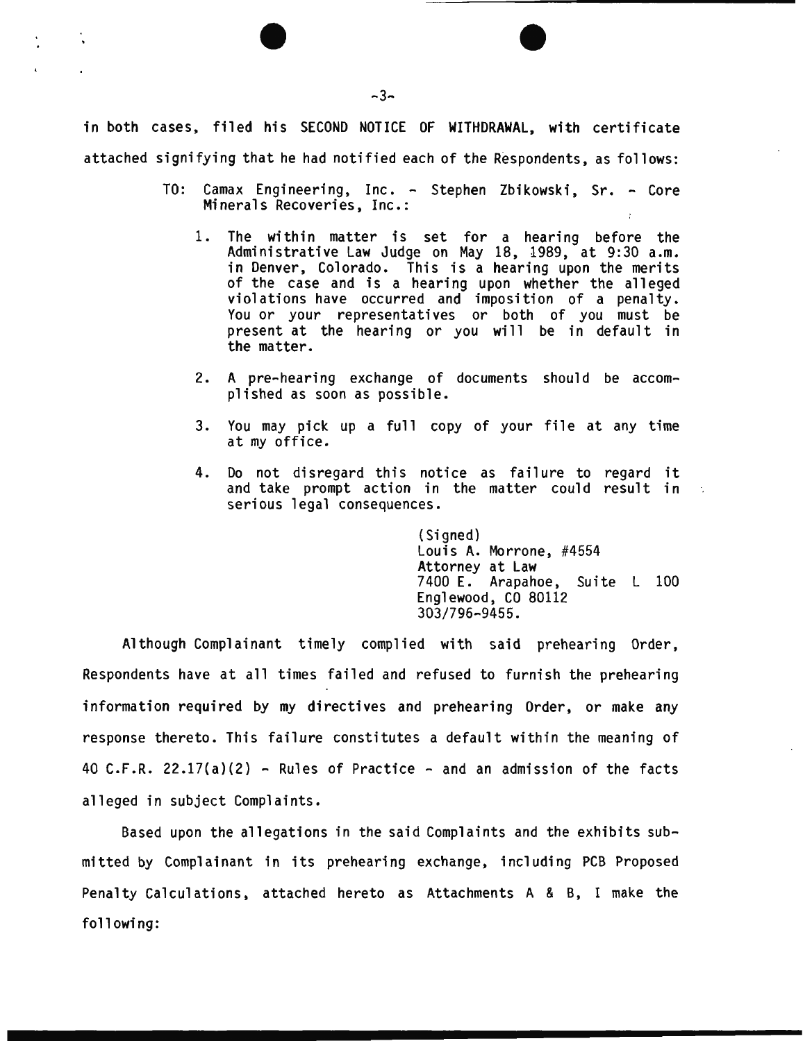in both cases, filed his SECOND NOTICE OF WITHDRAWAL, with certificate attached signifying that he had notified each of the Respondents, as follows:

- TO: Camax Engineering, Inc. Stephen Zbikowski, Sr. Core Minerals Recoveries, Inc.:
	- 1. The within matter is set for a hearing before the Administrative Law Judge on May 18, 1989, at 9:30 a.m. in Denver, Colorado. This is a hearing upon the merits of the case and is a hearing upon whether the alleged violations have occurred and imposition of a penalty. You or your representatives or both of you must be present at the hearing or you will be in default in the matter.
	- 2. A pre-hearing exchange of documents should be accomplished as soon as possible.
	- 3. You may pick up a full copy of your file at any time at my office.
	- 4. Do not disregard this notice as failure to regard it and take prompt action in the matter could result in serious legal consequences.

{Signed) Louis A. Morrone, #4554 Attorney at Law 7400 E. Arapahoe, Suite L 100 Englewood, CO 80112 303/796-9455.

Although Complainant timely complied with said prehearing Order, Respondents have at all times failed and refused to furnish the prehearing information required by my directives and prehearing Order, or make any response thereto. This failure constitutes a default within the meaning of 40 C.F.R.  $22.17(a)(2)$  - Rules of Practice - and an admission of the facts alleged in subject Complaints.

Based upon the allegations in the said Complaints and the exhibits submitted by Complainant in its prehearing exchange, including PCB Proposed Penalty Calculations, attached hereto as Attachments A & B, I make the following: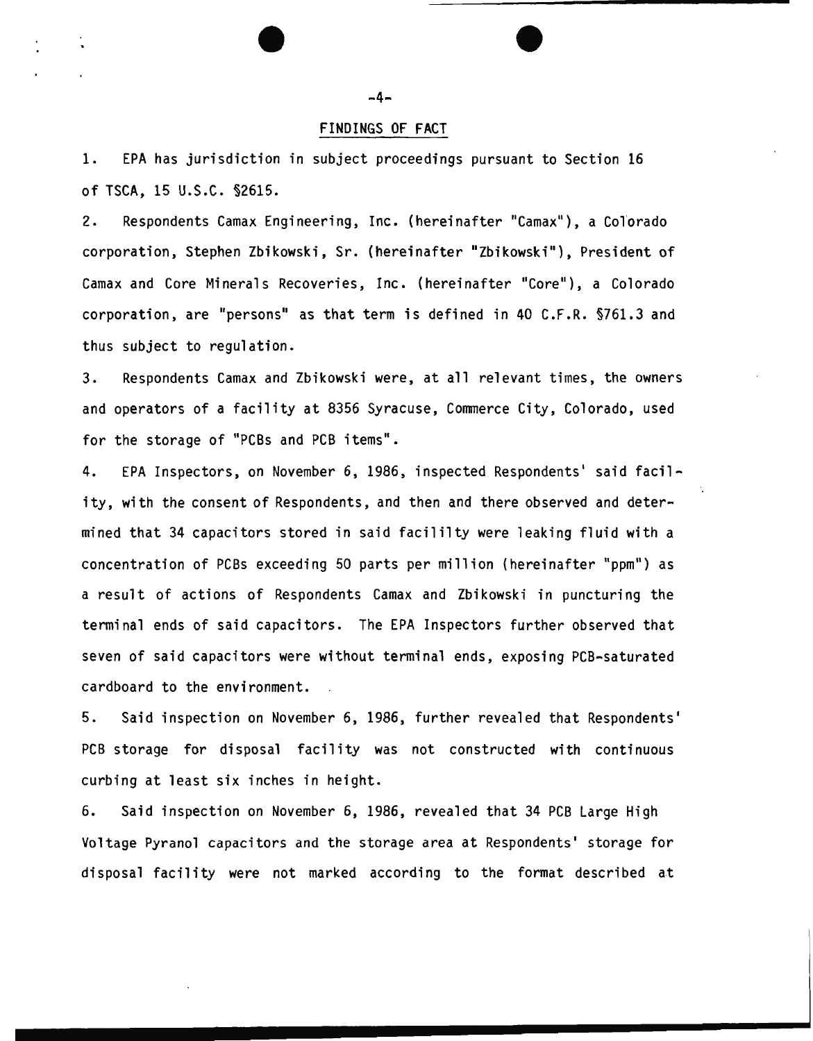FINDINGS OF FACT

1. EPA has jurisdiction in subject proceedings pursuant to Section 16 of TSCA, 15 U.S.C. §2615.

2. Respondents Camax Engineering, Inc. (hereinafter "Camax"), a Colorado corporation, Stephen Zbikowski, Sr. (hereinafter "Zbikowski"), President of Camax and Core Minerals Recoveries, Inc. (hereinafter "Core"), a Colorado corporation, are "persons" as that term is defined in 40 C.F.R. §761.3 and thus subject to regulation.

3. Respondents Camax and Zbikowski were, at all relevant times, the owners and operators of a facility at 8356 Syracuse, Commerce City, Colorado, used for the storage of "PCBs and PCB items".

4. EPA Inspectors, on November 6, 1986, inspected Respondents' said facility, with the consent of Respondents, and then and there observed and determined that 34 capacitors stored in said facililty were leaking fluid with a concentration of PCBs exceeding 50 parts per million (hereinafter "ppm") as a result of actions of Respondents Camax and Zbikowski in puncturing the terminal ends of said capacitors. The EPA Inspectors further observed that seven of said capacitors were without terminal ends, exposing PCB-saturated cardboard to the environment.

5. Said inspection on November 6, 1986, further revealed that Respondents' PCB storage for disposal facility was not constructed with continuous curbing at least six inches in height.

6. Said inspection on November 6, 1986, revealed that 34 PCB Large High Voltage Pyranol capacitors and the storage area at Respondents' storage for disposal facility were not marked according to the format described at

# $\overline{\bullet}$ -4-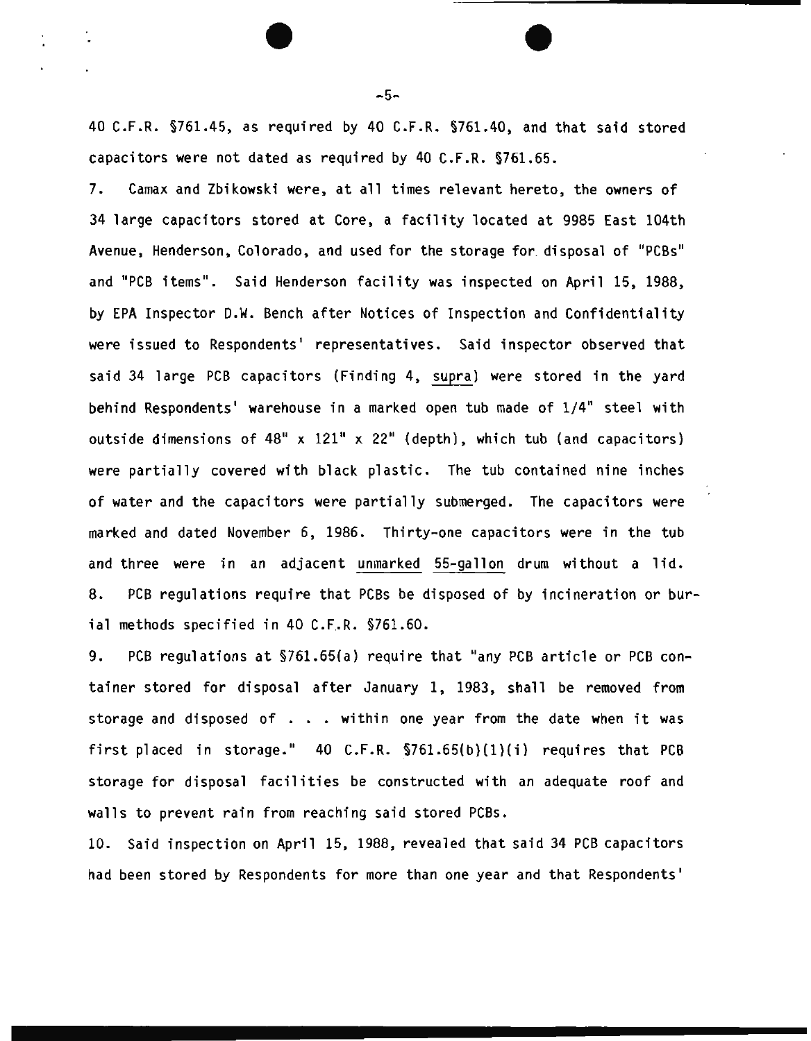40 C.F.R. §761.45, as required by 40 C.F.R. §761.40, and that said stored capacitors were not dated as required by 40 C.F.R. §761.65.

7. Camax and Zbikowski were, at all times relevant hereto, the owners of 34 large capacitors stored at Core, a facility located at 9985 East 104th Avenue, Henderson, Colorado, and used for the storage for disposal of "PCBs" and "PCB items". Said Henderson facility was inspected on April 15, 1988, by EPA Inspector D.W. Bench after Notices of Inspection and Confidentiality were issued to Respondents' representatives. Said inspector observed that said 34 large PCB capacitors (Finding 4, supra) were stored in the yard behind Respondents' warehouse in a marked open tub made of 1/4" steel with outside dimensions of  $48'' \times 121'' \times 22''$  (depth), which tub (and capacitors) were partially covered with black plastic. The tub contained nine inches of water and the capacitors were partially submerged. The capacitors were marked and dated November 6, 1986. Thirty-one capacitors were in the tub and three were in an adjacent unmarked 55-gallon drum without a lid. 8. PCB regulations require that PCBs be disposed of by incineration or burial methods specified in 40  $C.F.R.$   $$761.60.$ 

9. PCB regulations at §761.65(a) require that "any PCB article or PCB container stored for disposal after January 1, 1983, shall be removed from storage and disposed of  $\ldots$  within one year from the date when it was first placed in storage." 40 C.F.R.  $$761.65(b)(1)(i)$  requires that PCB storage for disposal facilities be constructed with an adequate roof and walls to prevent rain from reaching said stored PCBs.

10. Said inspection on April 15, 1988, revealed that said 34 PCB capacitors had been stored by Respondents for more than one year and that Respondents'

 $\overline{\bullet}$ -5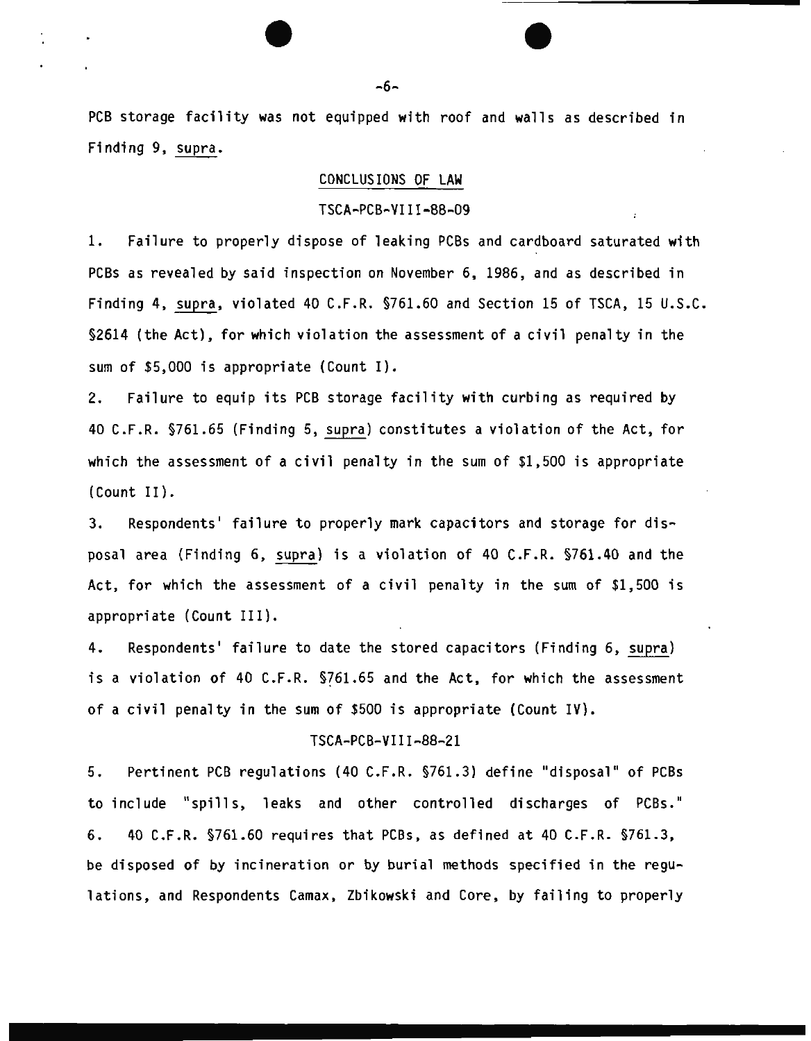PCB storage facility was not equipped with roof and walls as described in Finding 9, supra.

# CONCLUSIONS OF LAW

## TSCA-PCB-VIII-88-09

1. Failure to properly dispose of leaking PCBs and cardboard saturated with PCBs as revealed by said inspection on November 6, 1986, and as described in Finding 4, supra, violated 40 C.F.R. §761.60 and Section 15 of TSCA, 15 u.s.c. §2614 (the Act), for which violation the assessment of a civil penalty in the sum of \$5,000 is appropriate (Count 1).

2. Failure to equip its PCB storage facility with curbing as required by 40 C.F.R. §761.65 (Finding 5, supra) constitutes a violation of the Act, for which the assessment of a civil penalty in the sum of \$1,500 is appropriate (Count II).

3. Respondents' failure to properly mark capacitors and storage for disposal area (Finding 6, supra) is a violation of 40 C.F.R. §761.40 and the Act, for which the assessment of a civil penalty in the sum of \$1,500 is appropriate (Count III).

4. Respondents' failure to date the stored capacitors (Finding 6, supra} is a violation of 40 C.F.R. \$761.65 and the Act, for which the assessment of a civil penalty in the sum of \$500 is appropriate (Count IV).

# TSCA-PCB-VIII-88-21

5. Pertinent PCB regulations (40 C.F.R. §761.3) define "disposal" of PCBs to include "spills, leaks and other controlled discharges of PCBs." 6. 40 C.F.R. §761 . 60 requires that PCBs, as defined at 40 C.F.R. §761.3, be disposed of by incineration or by burial methods specified in the regulations, and Respondents Camax, Zbikowski and Core, by failing to properly

 $\overline{\bullet}$ -6-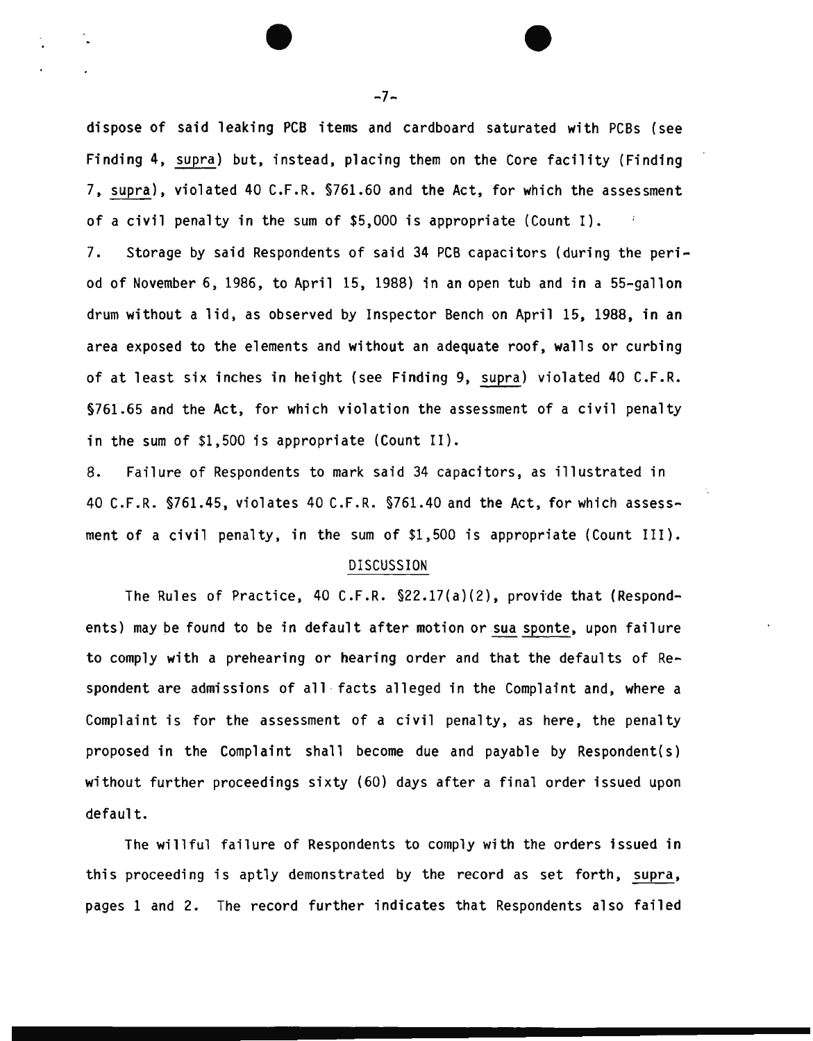dispose of said leaking PCB items and cardboard saturated with PCBs (see Finding 4, supra) but, instead, placing them on the Core facility {Finding 7, supra), violated 40 C.F.R. §761.60 and the Act, for which the assessment of a civil penalty in the sum of \$5,000 is appropriate (Count I).

7. Storage by said Respondents of said 34 PCB capacitors (during the period of November 6, 1986, to April 15, 1988) in an open tub and in a 55-gallon drum without a lid, as observed by Inspector Bench on April 15, 1988, in an area exposed to the elements and without an adequate roof, walls or curbing of at least six inches in height (see Finding 9, supra) violated 40 C.F.R. §761.65 and the Act, for which violation the assessment of a civil penalty in the sum of \$1,500 is appropriate (Count II).

8. Failure of Respondents to mark said 34 capacitors, as illustrated in 40 C.F.R. §761.45, violates 40 C.F.R. §761.40 and the Act, for which assessment of a civil penalty, in the sum of \$1,500 is appropriate (Count III).

# DISCUSSION

The Rules of Practice, 40 C.F.R. §22.17(a)(2), provtde that (Respondents) may be found to be in default after motion or sua sponte, upon failure to comply with a prehearing or hearing order and that the defaults of Respondent are admissions of all facts alleged in the Complaint and, where a Complaint is for the assessment of a civil penalty, as here, the penalty proposed in the Complaint shall become due and payable by Respondent(s) without further proceedings sixty (60) days after a final order issued upon default.

The willful failure of Respondents to comply with the orders issued in this proceeding is aptly demonstrated by the record as set forth, supra, pages 1 and 2. The record further indicates that Respondents also failed

 $\bullet$ -7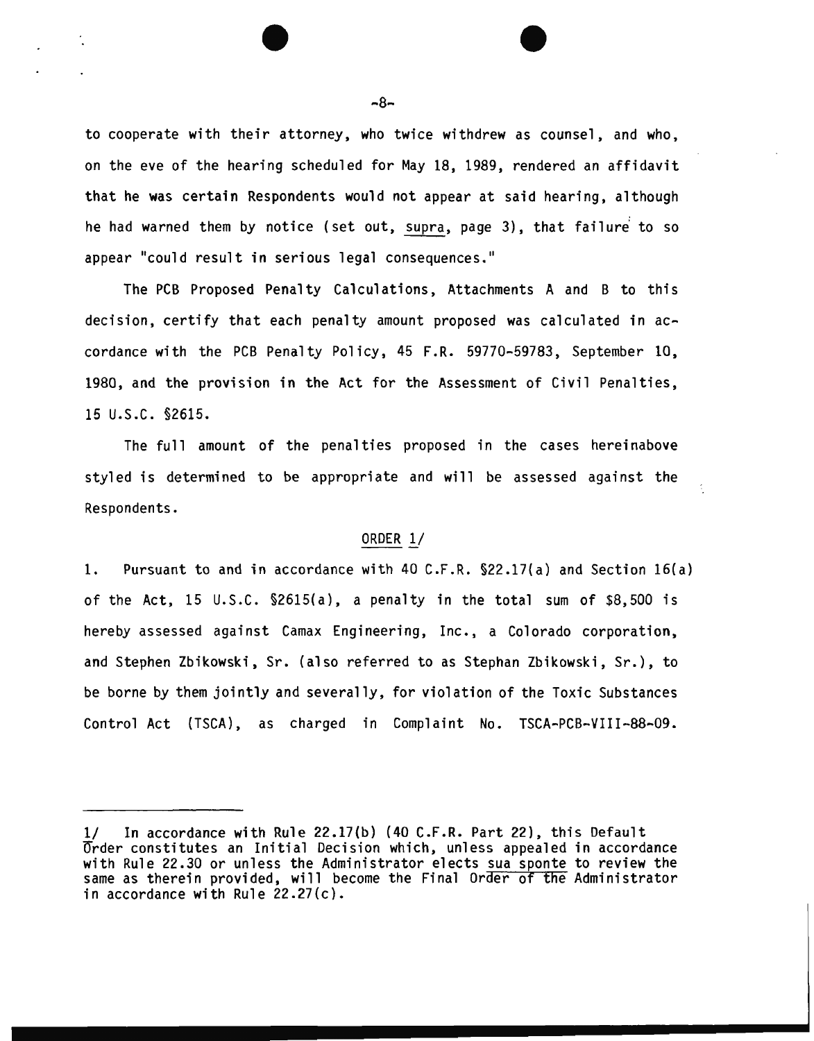to cooperate with their attorney, who twice withdrew as counsel, and who, on the eve of the hearing scheduled for May 18, 1989, rendered an affidavit that he was certain Respondents would not appear at said hearing, although he had warned them by notice (set out, supra, page 3), that failure to so appear "could result in serious legal consequences."

The PCB Proposed Penalty Calculations, Attachments A and B to this decision, certify that each penalty amount proposed was calculated in accordance with the PCB Penalty Policy, 45 F.R. 59770-59783, September 10, 1980, and the provision in the Act for the Assessment of Civil Penalties, 15 u.s.c. §2615.

The full amount of the penalties proposed in the cases hereinabove styled is determined to be appropriate and will be assessed against the Respondents.

# ORDER 1/

1. Pursuant to and in accordance with 40 C.F.R. §22.17(a) and Section 16(a) of the Act, 15 U.S.C. §2615(a), a penalty in the total sum of \$8,500 is hereby assessed against Camax Engineering, Inc., a Colorado corporation, and Stephen Zbikowski, Sr. (also referred to as Stephan Zbikowski, Sr.), to be borne by them jointly and severally, for violation of the Toxic Substances Control Act (TSCA), as charged in Complaint No. TSCA-PCB-VIII-88-09.

 $\bullet$ 

In accordance with Rule 22.17(b) (40 C.F.R. Part 22), this Default Order constitutes an Initial Decision which, unless appealed in accordance with Rule 22.30 or unless the Administrator elects sua sponte to review the same as therein provided, will become the Final Order of the Administrator in accordance with Rule 22.27(c).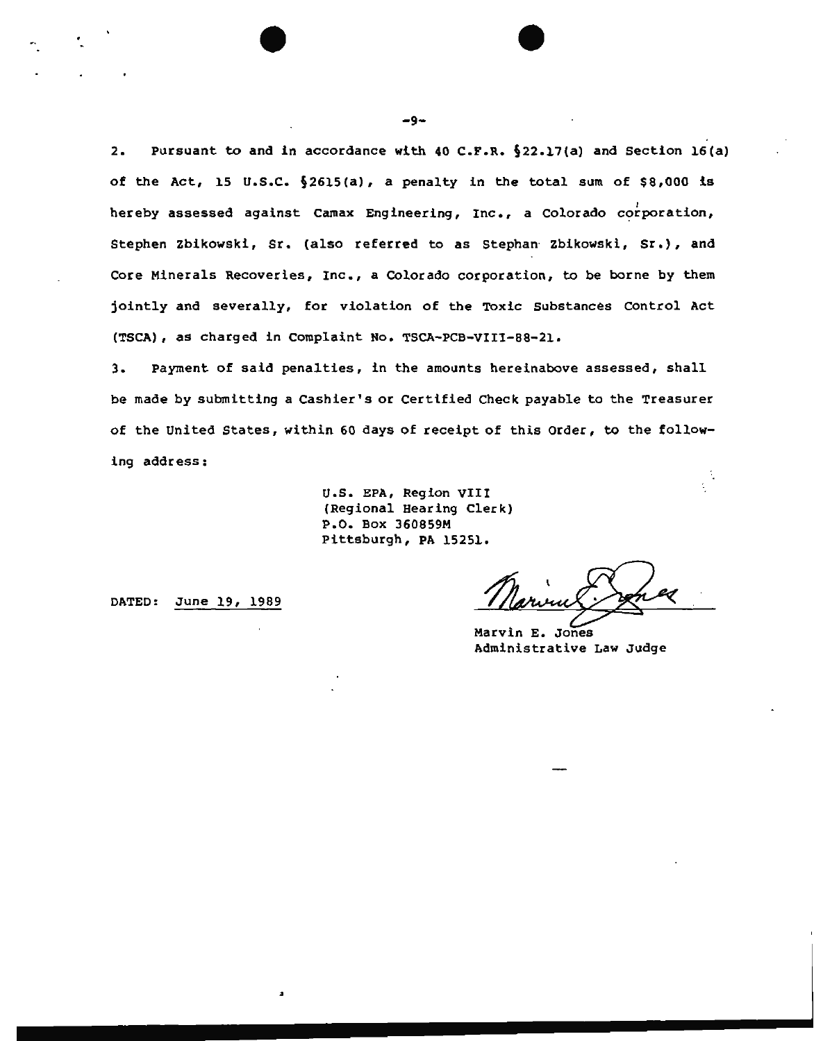2. Pursuant to and in accordance with 40 C.F.R. §22.17(a) and Section l6(a) of the Act, 15 u.s.c. §2615 (a), a penalty in the total sum of \$8,000 is hereby assessed against Camax Engineering, Inc., a Colorado corporation, Stephen Zbikowski, Sr. {also referred to as Stephan Zbikowski, Sr.), and Core Minerals Recoveries, Inc., a Colorado corporation, to be borne by them jointly and severally, for violation of the Toxic Substances Control Act (TSCA), as charged in Complaint No. TSCA-PCB-VIIl-88-21.

3. Payment of said pena1ties, in the amounts hereinabove assessed, shall be made by submitting a Cashier's or Certified Check payable to the Treasurer of the United States, within 60 days of receipt of this Order, to the following address:

> U.S. EPA, Region VIII (Regional Hearing Clerk) P.O. Box 360859M Pittsburgh, PA 15251.

DATED: June 19, 1989

÷.

Marvin E. Jones Administrative Law Judge

-9-

 $\bullet$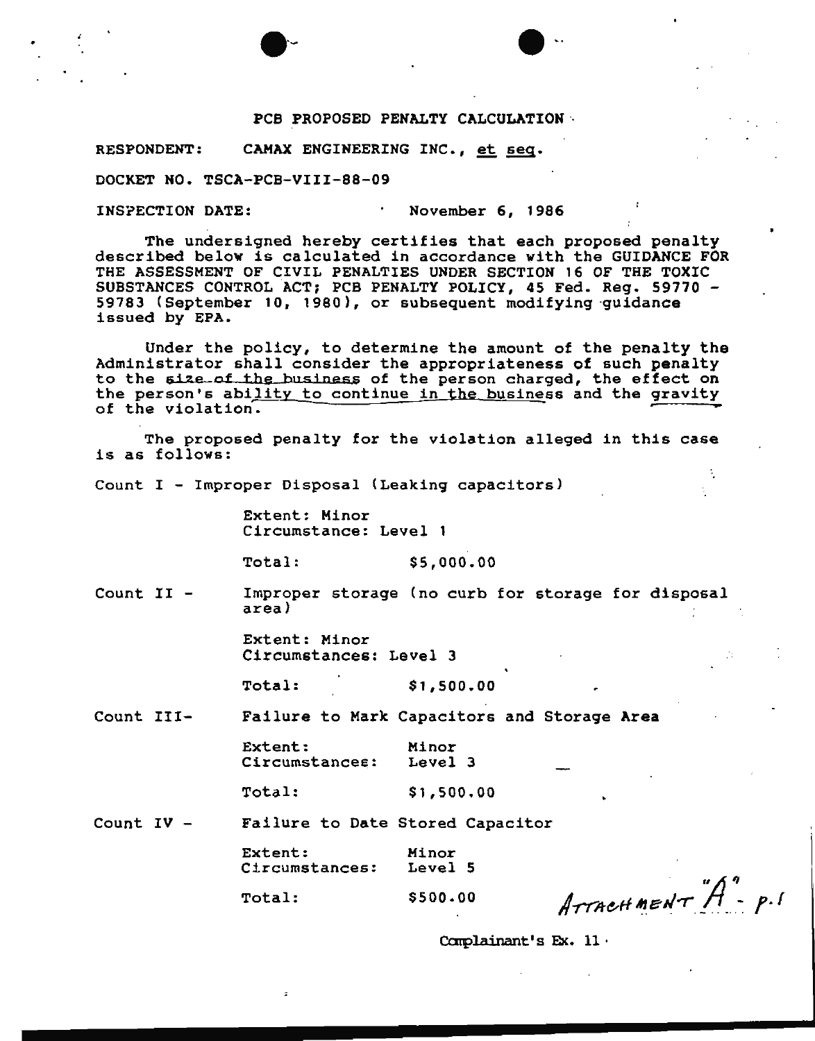# PCB PROPOSED PENALTY CALCULATION .

 $\bullet$ 

RESPONDENT: CAMAX ENGINEERING INC., et seq.

··-

DOCKET NO. TSCA-PCB-VIII-88-09

!NS?ECTION DATE: November 6, 1986

The undersigned hereby certifies that each proposed penalty described below is calculated in accordance with the GUIDANCE FOR THE ASSESSMENT OF CIVIL PENALTIES UNDER SECTION 16 OF THE TOXIC SUBSTANCES CONTROL ACT; PCB PENALTY POLICY, 45 Fed. Reg. 59770 -59783 (September 10, 1980), or subsequent modifying guidance issued by EPA.

Under the policy, to determine the amount of the penalty the Administrator shall consider the appropriateness of such penalty to the size of the business of the person charged, the effect on the person's ability to continue in the business and the gravity of the violation.

The proposed penalty for the violation alleged in this case is as follows:

Count I - Improper Disposal (Leaking capacitors)

Extent: Minor Circumstance: Level 1

Total: \$5,000.00

Count II - Improper storage (no curb for storage for disposal area)

> Extent: Minor Circumstances: Level 3

Total: \$1,500.00

Count III-Failure to Mark Capacitors and Storage Area

> Extent: Circumstances: Minor Level 3

\$1,500.00

\$500.00

Count IV - Failure to Date Stored Capacitor

Total:

Extent: Circumstances: Minor Level 5

Total:

 $Arrachtment -  $A^4$  - p.1$ 

ŧ.

Complainant's Ex.  $11 \cdot$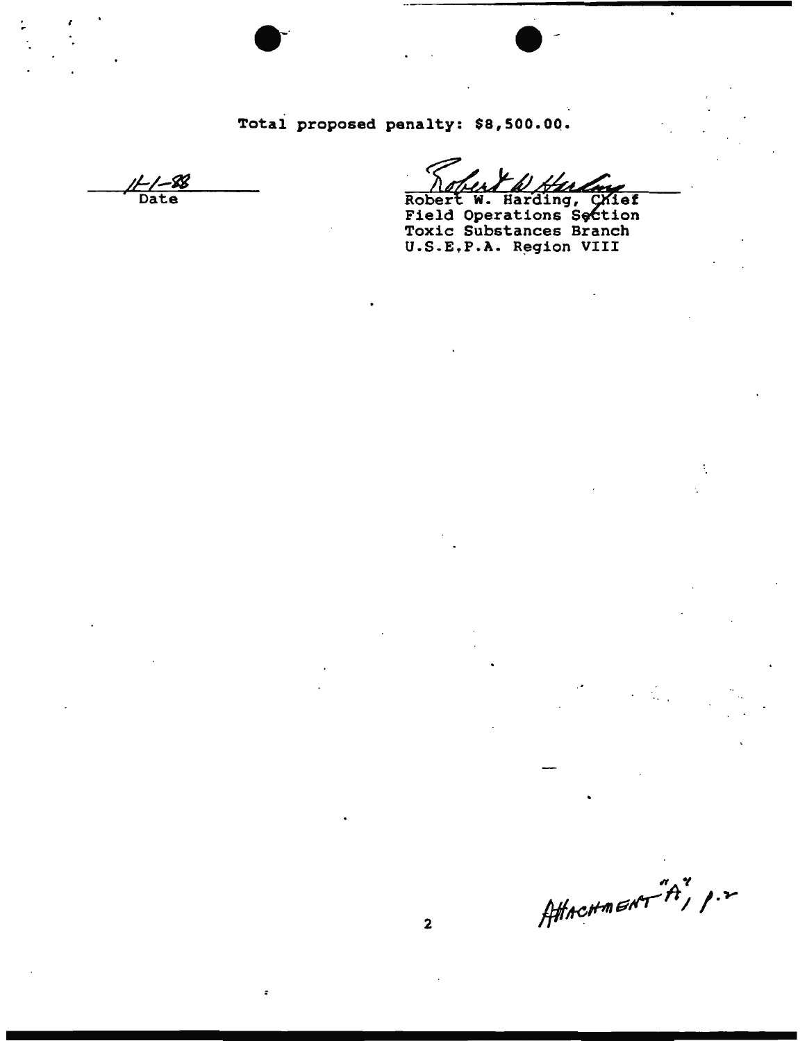Total proposed penalty: \$8,SOO.OQ.

 $\bullet$   $\overline{\bullet}$ 

*v<sub>L</sub>/-88*<br>Date

W. Harding, Chief Operations Section Toxic Substances Branch U.S.E.P.A. Region VIII

Attacitment A, p.r

٠.

2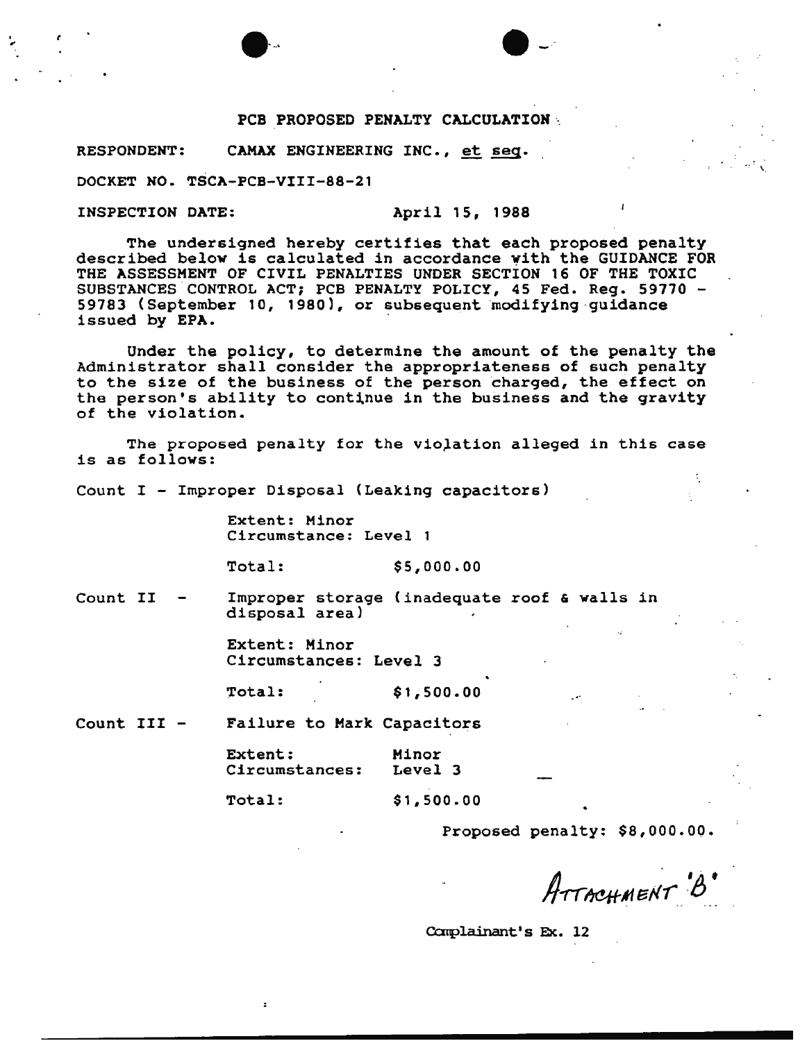# PCB PROPOSED PENALTY CALCULATION .

 $\bullet$ .

RESPONDENT: CAMAX ENGINEERING INC., et seq.

DOCKET NO. TSCA-PCB-VIII-88-21

INSPECTION DATE:  $\Delta \text{pri1 15, 1988}$ 

 $\mathbf{r}$ , r.

The undersigned hereby certifies that each proposed penalty described below is calculated in accordance vith the GUIDANCE FOR THE ASSESSMENT OF CIVIL PENALTIES UNDER SECTION 16 OF THE TOXIC<br>SUBSTANCES CONTROL ACT; PCB PENALTY POLICY, 45 Fed. Reg. 59770 -59783 (September 10, 1980), or subsequent modifying guidance issued by EPA.

Under the policy, to determine the amount of the penalty the Administrator shall consider the appropriateness of such penalty to the size of the business of the person charged, the effect on the person's ability to continue in the business and the gravity of the violation.

The proposed penalty for the violation alleged in this case is as follows:

Count I - Improper Disposal (Leaking capacitors)

Extent: Minor Circumstance: Level 1

Total: \$5,000.00

Count II Improper storage (inadequate roof & walls in disposal area)

> Extent: Minor Circumstances: Level 3

Total: \$1,500.00

Count III - Failure to Hark Capacitors

> Extent: Circumstances: Minor

Level 3

Total:

\$1,500.00

Proposed penalty: \$8,000.00.

ATTACHMENT 'B'

Complainant's Ex. 12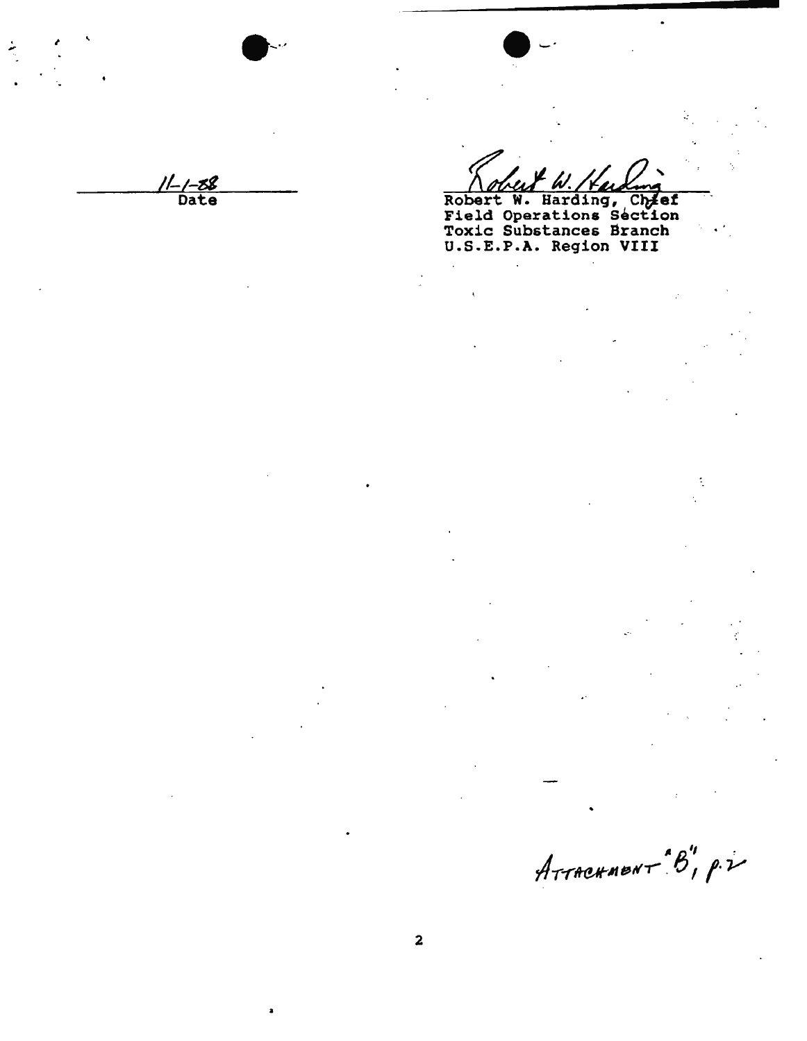$\overline{\bullet}$ 

Robert W. Harding, Chief Field Operations Section Toxic Substances Branch U.S.E.P.A. Region VIII

t,

ATTACHMENT<sup>"</sup>B", p.2

1-1-88

<sup>I</sup>·-·'

2